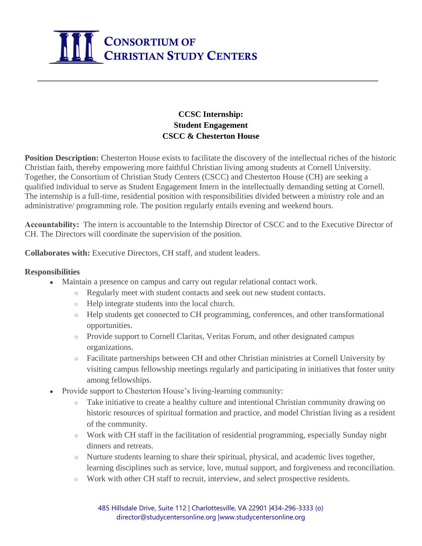

## **CCSC Internship: Student Engagement CSCC & Chesterton House**

**Position Description:** Chesterton House exists to facilitate the discovery of the intellectual riches of the historic Christian faith, thereby empowering more faithful Christian living among students at Cornell University. Together, the Consortium of Christian Study Centers (CSCC) and Chesterton House (CH) are seeking a qualified individual to serve as Student Engagement Intern in the intellectually demanding setting at Cornell. The internship is a full-time, residential position with responsibilities divided between a ministry role and an administrative/ programming role. The position regularly entails evening and weekend hours.

**Accountability:**The intern is accountable to the Internship Director of CSCC and to the Executive Director of CH. The Directors will coordinate the supervision of the position.

**Collaborates with:** Executive Directors, CH staff, and student leaders.

## **Responsibilities**

- Maintain a presence on campus and carry out regular relational contact work.
	- Regularly meet with student contacts and seek out new student contacts.
		- Help integrate students into the local church.
		- Help students get connected to CH programming, conferences, and other transformational opportunities.
		- Provide support to Cornell Claritas, Veritas Forum, and other designated campus organizations.
		- Facilitate partnerships between CH and other Christian ministries at Cornell University by visiting campus fellowship meetings regularly and participating in initiatives that foster unity among fellowships.
	- Provide support to Chesterton House's living-learning community:
		- Take initiative to create a healthy culture and intentional Christian community drawing on historic resources of spiritual formation and practice, and model Christian living as a resident of the community.
		- Work with CH staff in the facilitation of residential programming, especially Sunday night dinners and retreats.
		- Nurture students learning to share their spiritual, physical, and academic lives together, learning disciplines such as service, love, mutual support, and forgiveness and reconciliation.
		- Work with other CH staff to recruit, interview, and select prospective residents.